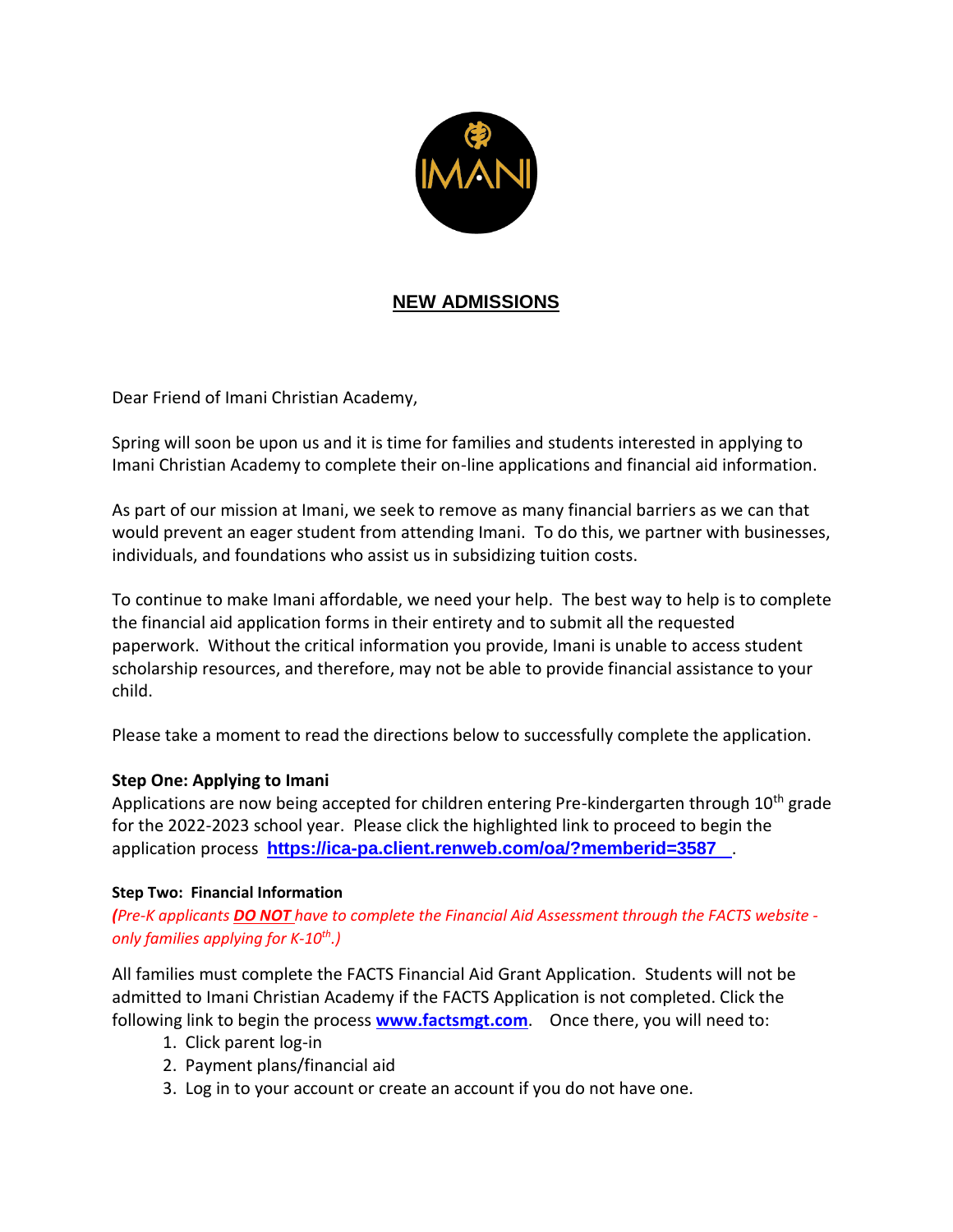

## **NEW ADMISSIONS**

Dear Friend of Imani Christian Academy,

Spring will soon be upon us and it is time for families and students interested in applying to Imani Christian Academy to complete their on-line applications and financial aid information.

As part of our mission at Imani, we seek to remove as many financial barriers as we can that would prevent an eager student from attending Imani. To do this, we partner with businesses, individuals, and foundations who assist us in subsidizing tuition costs.

To continue to make Imani affordable, we need your help. The best way to help is to complete the financial aid application forms in their entirety and to submit all the requested paperwork. Without the critical information you provide, Imani is unable to access student scholarship resources, and therefore, may not be able to provide financial assistance to your child.

Please take a moment to read the directions below to successfully complete the application.

## **Step One: Applying to Imani**

Applications are now being accepted for children entering Pre-kindergarten through 10<sup>th</sup> grade for the 2022-2023 school year. Please click the highlighted link to proceed to begin the application process **<https://ica-pa.client.renweb.com/oa/?memberid=3587>**.

## **Step Two: Financial Information**

*(Pre-K applicants DO NOT have to complete the Financial Aid Assessment through the FACTS website only families applying for K-10th .)*

All families must complete the FACTS Financial Aid Grant Application. Students will not be admitted to Imani Christian Academy if the FACTS Application is not completed. Click the following link to begin the process **[www.factsmgt.com](http://www.factsmgt.com/)**. Once there, you will need to:

- 1. Click parent log-in
- 2. Payment plans/financial aid
- 3. Log in to your account or create an account if you do not have one.